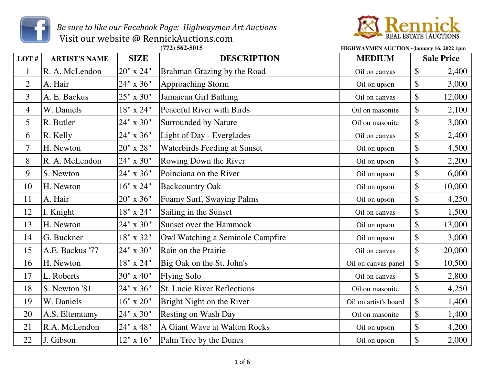

 *Be sure to like our Facebook Page: Highwaymen Art Auctions* Visit our website @ RennickAuctions.com



| LOT#           | <b>ARTIST'S NAME</b> | <b>SIZE</b>   | <b>DESCRIPTION</b>                  | <b>MEDIUM</b>         | <b>Sale Price</b>         |        |
|----------------|----------------------|---------------|-------------------------------------|-----------------------|---------------------------|--------|
| $\mathbf{1}$   | R. A. McLendon       | 20" x 24"     | Brahman Grazing by the Road         | Oil on canvas         | $\$\$                     | 2,400  |
| $\overline{2}$ | A. Hair              | 24" x 36"     | <b>Approaching Storm</b>            | Oil on upson          | \$                        | 3,000  |
| 3              | A. E. Backus         | 25" x 30"     | Jamaican Girl Bathing               | Oil on canvas         | $\$\$                     | 12,000 |
| 4              | W. Daniels           | 18" x 24"     | Peaceful River with Birds           | Oil on masonite       | \$                        | 2,100  |
| 5              | R. Butler            | 24" x 30"     | Surrounded by Nature                | Oil on masonite       | $\boldsymbol{\$}$         | 3,000  |
| 6              | R. Kelly             | 24" x 36"     | Light of Day - Everglades           | Oil on canvas         | \$                        | 2,400  |
| 7              | H. Newton            | $20"$ x $28"$ | <b>Waterbirds Feeding at Sunset</b> | Oil on upson          | \$                        | 4,500  |
| 8              | R. A. McLendon       | 24" x 30"     | Rowing Down the River               | Oil on upson          | \$                        | 2,200  |
| 9              | S. Newton            | 24" x 36"     | Poinciana on the River              | Oil on upson          | \$                        | 6,000  |
| 10             | H. Newton            | $16"$ x $24"$ | <b>Backcountry Oak</b>              | Oil on upson          | $\mathcal{S}$             | 10,000 |
| 11             | A. Hair              | 20" x 36"     | Foamy Surf, Swaying Palms           | Oil on upson          | $\boldsymbol{\mathsf{S}}$ | 4,250  |
| 12             | I. Knight            | 18" x 24"     | Sailing in the Sunset               | Oil on canvas         | \$                        | 1,500  |
| 13             | H. Newton            | 24" x 30"     | <b>Sunset over the Hammock</b>      | Oil on upson          | $\$\$                     | 13,000 |
| 14             | G. Buckner           | 18" x 32"     | Owl Watching a Seminole Campfire    | Oil on upson          | $\$\$                     | 3,000  |
| 15             | A.E. Backus '77      | 24" x 30"     | Rain on the Prairie                 | Oil on canvas         | $\boldsymbol{\$}$         | 20,000 |
| 16             | H. Newton            | 18" x 24"     | Big Oak on the St. John's           | Oil on canvas panel   | \$                        | 10,500 |
| 17             | L. Roberts           | 30" x 40"     | <b>Flying Solo</b>                  | Oil on canvas         | \$                        | 2,800  |
| 18             | S. Newton '81        | 24" x 36"     | <b>St. Lucie River Reflections</b>  | Oil on masonite       | $\boldsymbol{\mathsf{S}}$ | 4,250  |
| 19             | W. Daniels           | $16"$ x $20"$ | Bright Night on the River           | Oil on artist's board | $\$\,$                    | 1,400  |
| 20             | A.S. Eltemtamy       | 24" x 30"     | <b>Resting on Wash Day</b>          | Oil on masonite       | \$                        | 1,400  |
| 21             | R.A. McLendon        | $24"$ x $48"$ | A Giant Wave at Walton Rocks        | Oil on upson          | $\boldsymbol{\mathsf{S}}$ | 4,200  |
| 22             | J. Gibson            | $12"$ x $16"$ | Palm Tree by the Dunes              | Oil on upson          | $\boldsymbol{\mathsf{S}}$ | 2,000  |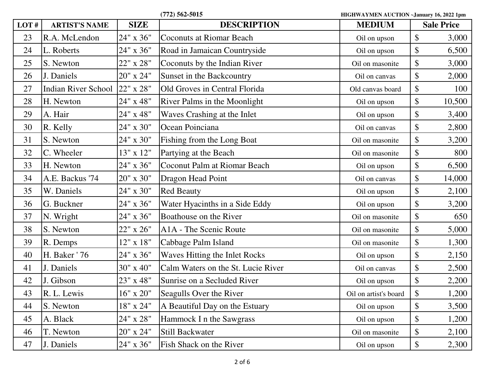| LOT# | <b>ARTIST'S NAME</b> | <b>SIZE</b>      | <b>DESCRIPTION</b>                 | <b>MEDIUM</b>         | <b>Sale Price</b>          |        |
|------|----------------------|------------------|------------------------------------|-----------------------|----------------------------|--------|
| 23   | R.A. McLendon        | 24" x 36"        | <b>Coconuts at Riomar Beach</b>    | Oil on upson          | \$                         | 3,000  |
| 24   | L. Roberts           | 24" x 36"        | Road in Jamaican Countryside       | Oil on upson          | \$                         | 6,500  |
| 25   | S. Newton            | 22" x 28"        | Coconuts by the Indian River       | Oil on masonite       | $\boldsymbol{\mathsf{S}}$  | 3,000  |
| 26   | J. Daniels           | 20" x 24"        | Sunset in the Backcountry          | Oil on canvas         | $\$\,$                     | 2,000  |
| 27   | Indian River School  | 22" x 28"        | Old Groves in Central Florida      | Old canvas board      | $\boldsymbol{\mathsf{S}}$  | 100    |
| 28   | H. Newton            | 24" x 48"        | River Palms in the Moonlight       | Oil on upson          | $\$\,$                     | 10,500 |
| 29   | A. Hair              | 24" x 48"        | Waves Crashing at the Inlet        | Oil on upson          | $\boldsymbol{\mathsf{S}}$  | 3,400  |
| 30   | R. Kelly             | 24" x 30"        | Ocean Poinciana                    | Oil on canvas         | $\$\,$                     | 2,800  |
| 31   | S. Newton            | 24" x 30"        | Fishing from the Long Boat         | Oil on masonite       | \$                         | 3,200  |
| 32   | C. Wheeler           | 13" x 12"        | Partying at the Beach              | Oil on masonite       | $\$\,$                     | 800    |
| 33   | H. Newton            | 24" x 36"        | Coconut Palm at Riomar Beach       | Oil on upson          | $\boldsymbol{\mathsf{\$}}$ | 6,500  |
| 34   | A.E. Backus '74      | 20" x 30"        | Dragon Head Point                  | Oil on canvas         | $\boldsymbol{\mathsf{\$}}$ | 14,000 |
| 35   | W. Daniels           | 24" x 30"        | <b>Red Beauty</b>                  | Oil on upson          | $\$\$                      | 2,100  |
| 36   | G. Buckner           | 24" x 36"        | Water Hyacinths in a Side Eddy     | Oil on upson          | \$                         | 3,200  |
| 37   | N. Wright            | 24" x 36"        | Boathouse on the River             | Oil on masonite       | $\boldsymbol{\mathsf{S}}$  | 650    |
| 38   | S. Newton            | 22" x 26"        | A1A - The Scenic Route             | Oil on masonite       | \$                         | 5,000  |
| 39   | R. Demps             | $12"$ x $18"$    | Cabbage Palm Island                | Oil on masonite       | \$                         | 1,300  |
| 40   | H. Baker ' 76        | 24" x 36"        | Waves Hitting the Inlet Rocks      | Oil on upson          | \$                         | 2,150  |
| 41   | J. Daniels           | 30" x 40"        | Calm Waters on the St. Lucie River | Oil on canvas         | \$                         | 2,500  |
| 42   | J. Gibson            | 23" x 48"        | Sunrise on a Secluded River        | Oil on upson          | \$                         | 2,200  |
| 43   | R. L. Lewis          | $16" \times 20"$ | Seagulls Over the River            | Oil on artist's board | $\boldsymbol{\$}$          | 1,200  |
| 44   | S. Newton            | 18" x 24"        | A Beautiful Day on the Estuary     | Oil on upson          | \$                         | 3,500  |
| 45   | A. Black             | $24"$ x $28"$    | Hammock I n the Sawgrass           | Oil on upson          | \$                         | 1,200  |
| 46   | T. Newton            | 20" x 24"        | <b>Still Backwater</b>             | Oil on masonite       | \$                         | 2,100  |
| 47   | J. Daniels           | 24" x 36"        | Fish Shack on the River            | Oil on upson          | $\boldsymbol{\$}$          | 2,300  |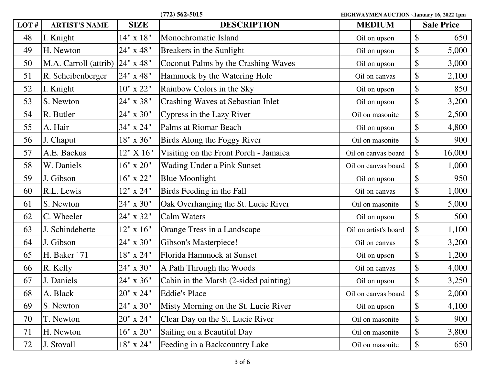| LOT# | <b>ARTIST'S NAME</b>  | <b>SIZE</b>   | <b>DESCRIPTION</b>                       | <b>MEDIUM</b>         | <b>Sale Price</b> |        |
|------|-----------------------|---------------|------------------------------------------|-----------------------|-------------------|--------|
| 48   | I. Knight             | 14" x 18"     | Monochromatic Island                     | Oil on upson          | \$                | 650    |
| 49   | H. Newton             | 24" x 48"     | Breakers in the Sunlight                 | Oil on upson          | \$                | 5,000  |
| 50   | M.A. Carroll (attrib) | 24" x 48"     | Coconut Palms by the Crashing Waves      | Oil on upson          | \$                | 3,000  |
| 51   | R. Scheibenberger     | $24"$ x $48"$ | Hammock by the Watering Hole             | Oil on canvas         | \$                | 2,100  |
| 52   | I. Knight             | $10"$ x $22"$ | Rainbow Colors in the Sky                | Oil on upson          | \$                | 850    |
| 53   | S. Newton             | 24" x 38"     | <b>Crashing Waves at Sebastian Inlet</b> | Oil on upson          | \$                | 3,200  |
| 54   | R. Butler             | 24" x 30"     | Cypress in the Lazy River                | Oil on masonite       | \$                | 2,500  |
| 55   | A. Hair               | 34" x 24"     | Palms at Riomar Beach                    | Oil on upson          | \$                | 4,800  |
| 56   | J. Chaput             | 18" x 36"     | Birds Along the Foggy River              | Oil on masonite       | \$                | 900    |
| 57   | A.E. Backus           | 12" X 16"     | Visiting on the Front Porch - Jamaica    | Oil on canvas board   | \$                | 16,000 |
| 58   | W. Daniels            | $16"$ x $20"$ | <b>Wading Under a Pink Sunset</b>        | Oil on canvas board   | \$                | 1,000  |
| 59   | J. Gibson             | 16" x 22"     | <b>Blue Moonlight</b>                    | Oil on upson          | \$                | 950    |
| 60   | R.L. Lewis            | 12" x 24"     | Birds Feeding in the Fall                | Oil on canvas         | \$                | 1,000  |
| 61   | S. Newton             | 24" x 30"     | Oak Overhanging the St. Lucie River      | Oil on masonite       | \$                | 5,000  |
| 62   | C. Wheeler            | 24" x 32"     | <b>Calm Waters</b>                       | Oil on upson          | \$                | 500    |
| 63   | J. Schindehette       | 12" x 16"     | Orange Tress in a Landscape              | Oil on artist's board | \$                | 1,100  |
| 64   | J. Gibson             | 24" x 30"     | Gibson's Masterpiece!                    | Oil on canvas         | \$                | 3,200  |
| 65   | H. Baker ' 71         | 18" x 24"     | Florida Hammock at Sunset                | Oil on upson          | \$                | 1,200  |
| 66   | R. Kelly              | 24" x 30"     | A Path Through the Woods                 | Oil on canvas         | \$                | 4,000  |
| 67   | J. Daniels            | 24" x 36"     | Cabin in the Marsh (2-sided painting)    | Oil on upson          | \$                | 3,250  |
| 68   | A. Black              | 20" x 24"     | <b>Eddie's Place</b>                     | Oil on canvas board   | $\boldsymbol{\$}$ | 2,000  |
| 69   | S. Newton             | 24" x 30"     | Misty Morning on the St. Lucie River     | Oil on upson          | \$                | 4,100  |
| 70   | T. Newton             | $20"$ x $24"$ | Clear Day on the St. Lucie River         | Oil on masonite       | \$                | 900    |
| 71   | H. Newton             | 16" x 20"     | Sailing on a Beautiful Day               | Oil on masonite       | \$                | 3,800  |
| 72   | J. Stovall            | 18" x 24"     | Feeding in a Backcountry Lake            | Oil on masonite       | \$                | 650    |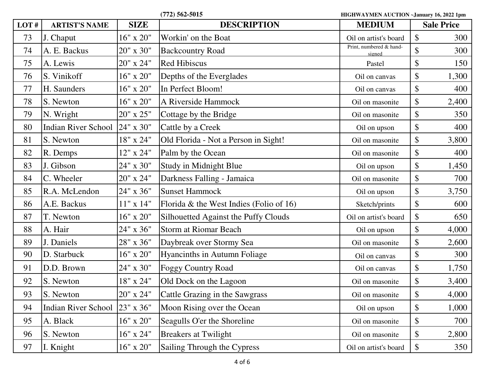| $(772)$ 562-5015 |  |
|------------------|--|
|------------------|--|

| LOT# | <b>ARTIST'S NAME</b> | <b>SIZE</b>   | <b>DESCRIPTION</b>                         | <b>MEDIUM</b>                     | <b>Sale Price</b>          |       |
|------|----------------------|---------------|--------------------------------------------|-----------------------------------|----------------------------|-------|
| 73   | J. Chaput            | $16"$ x $20"$ | Workin' on the Boat                        | Oil on artist's board             | $\boldsymbol{\mathsf{S}}$  | 300   |
| 74   | A. E. Backus         | 20" x 30"     | <b>Backcountry Road</b>                    | Print, numbered & hand-<br>signed | $\boldsymbol{\mathsf{S}}$  | 300   |
| 75   | A. Lewis             | 20" x 24"     | <b>Red Hibiscus</b>                        | Pastel                            | $\boldsymbol{\mathsf{S}}$  | 150   |
| 76   | S. Vinikoff          | $16"$ x $20"$ | Depths of the Everglades                   | Oil on canvas                     | $\boldsymbol{\mathsf{\$}}$ | 1,300 |
| 77   | H. Saunders          | 16" x 20"     | In Perfect Bloom!                          | Oil on canvas                     | $\boldsymbol{\mathsf{S}}$  | 400   |
| 78   | S. Newton            | 16" x 20"     | A Riverside Hammock                        | Oil on masonite                   | $\boldsymbol{\mathsf{S}}$  | 2,400 |
| 79   | N. Wright            | 20" x 25"     | Cottage by the Bridge                      | Oil on masonite                   | $\boldsymbol{\mathsf{S}}$  | 350   |
| 80   | Indian River School  | 24" x 30"     | Cattle by a Creek                          | Oil on upson                      | $\boldsymbol{\mathsf{S}}$  | 400   |
| 81   | S. Newton            | 18" x 24"     | Old Florida - Not a Person in Sight!       | Oil on masonite                   | $\boldsymbol{\mathsf{S}}$  | 3,800 |
| 82   | R. Demps             | 12" x 24"     | Palm by the Ocean                          | Oil on masonite                   | $\boldsymbol{\mathsf{S}}$  | 400   |
| 83   | J. Gibson            | 24" x 30"     | Study in Midnight Blue                     | Oil on upson                      | \$                         | 1,450 |
| 84   | C. Wheeler           | $20"$ x $24"$ | Darkness Falling - Jamaica                 | Oil on masonite                   | $\boldsymbol{\mathsf{S}}$  | 700   |
| 85   | R.A. McLendon        | 24" x 36"     | <b>Sunset Hammock</b>                      | Oil on upson                      | $\boldsymbol{\mathsf{S}}$  | 3,750 |
| 86   | A.E. Backus          | $11"$ x $14"$ | Florida $\&$ the West Indies (Folio of 16) | Sketch/prints                     | $\boldsymbol{\mathsf{S}}$  | 600   |
| 87   | T. Newton            | $16"$ x $20"$ | Silhouetted Against the Puffy Clouds       | Oil on artist's board             | $\boldsymbol{\mathsf{S}}$  | 650   |
| 88   | A. Hair              | 24" x 36"     | <b>Storm at Riomar Beach</b>               | Oil on upson                      | $\boldsymbol{\mathsf{S}}$  | 4,000 |
| 89   | J. Daniels           | 28" x 36"     | Daybreak over Stormy Sea                   | Oil on masonite                   | $\boldsymbol{\mathsf{S}}$  | 2,600 |
| 90   | D. Starbuck          | 16" x 20"     | Hyancinths in Autumn Foliage               | Oil on canvas                     | $\boldsymbol{\mathsf{S}}$  | 300   |
| 91   | D.D. Brown           | 24" x 30"     | <b>Foggy Country Road</b>                  | Oil on canvas                     | $\boldsymbol{\mathsf{\$}}$ | 1,750 |
| 92   | S. Newton            | 18" x 24"     | Old Dock on the Lagoon                     | Oil on masonite                   | $\boldsymbol{\mathsf{S}}$  | 3,400 |
| 93   | S. Newton            | 20" x 24"     | Cattle Grazing in the Sawgrass             | Oil on masonite                   | $\boldsymbol{\mathsf{S}}$  | 4,000 |
| 94   | Indian River School  | 23" x 36"     | Moon Rising over the Ocean                 | Oil on upson                      | $\boldsymbol{\mathsf{S}}$  | 1,000 |
| 95   | A. Black             | $16"$ x $20"$ | Seagulls O'er the Shoreline                | Oil on masonite                   | $\boldsymbol{\mathsf{\$}}$ | 700   |
| 96   | S. Newton            | 16" x 24"     | <b>Breakers at Twilight</b>                | Oil on masonite                   | $\boldsymbol{\mathsf{S}}$  | 2,800 |
| 97   | I. Knight            | $16"$ x $20"$ | Sailing Through the Cypress                | Oil on artist's board             | $\mathcal{S}$              | 350   |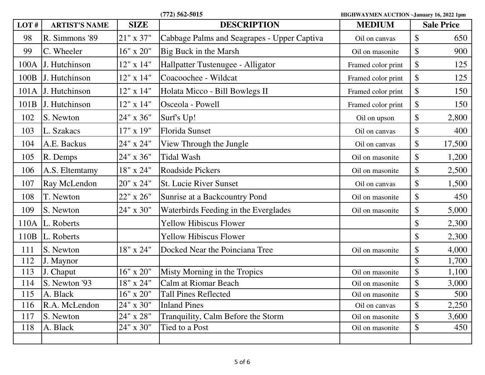**(772) 562-5015 HIGHWAYMEN AUCTION ~January 16, 2022 1pm LOT # ARTIST'S NAME SIZE DESCRIPTION MEDIUM Sale Price** 98 R. Simmons '89  $\vert$  21" x 37" cabbage Palms and Seagrapes - Upper Captiva  $\vert$  Oil on canvas  $\vert$  \$ 650 99 C. Wheeler  $16'' \times 20''$  Big Buck in the Marsh Oil on masonite  $\frac{1}{8}$  900 100A J. Hutchinson 12" x 14" Hallpatter Tustenugee - Alligator Framed color print \ \$ 125 100B J. Hutchinson 12" x 14" Coacoochee - Wildcat Framed color print \\$ 125 101A J. Hutchinson 12" x 14" Holata Micco - Bill Bowlegs II Framed color print \ \$ 150 101B J. Hutchinson  $12''$  x 14" Osceola - Powell Framed color print \ \$ 150 102 S. Newton  $24'' \times 36''$  Surf's Up! Oil on upson  $\frac{1}{3}$  0.800 103 L. Szakacs 17" x 19" Florida Sunset 103 Oil on canvas \ \$ 400 104 | A.E. Backus  $24''$  x 24" | View Through the Jungle  $\qquad$  Oil on canvas | \$ 17,500 105 R. Demps 24" x 36" Tidal Wash (Collection of  $\sim$  1,200 106 | A.S. Eltemtamy | 18" x 24" | Roadside Pickers | Oil on masonite | \$ 2,500 107 Ray McLendon 20" x 24" St. Lucie River Sunset contraction oil on canvas 1 \$ 1,500 108 T. Newton 22" x 26" Sunrise at a Backcountry Pond oil on masonite \$ 450 109 S. Newton 24" x 30" Waterbirds Feeding in the Everglades oil on masonite  $\frac{1}{5}$  5,000 110A L. Roberts Tellow Hibiscus Flower 110A L. Roberts 2,300 110B L. Roberts Yellow Hibiscus Flower 2,300\$ 111 S. Newton  $18'' \times 24''$  Docked Near the Poinciana Tree  $\vert$  Oil on masonite  $\vert$  \$ 4,000 112 J. Maynor 1,700 113 J. Chaput  $16'' \times 20''$  Misty Morning in the Tropics oil on masonite 1 \$ 1,100 114 S. Newton '93  $\vert$  18" x 24"  $\vert$ Calm at Riomar Beach  $\vert$  Oil on masonite  $\vert$  \$ 3,000 115 A. Black 16" x 20" Tall Pines Reflected oil on masonite \$ 500 116 R.A. McLendon 24" x 30" Inland Pines Oil on canvas 2,250\$ 117 S. Newton 24" x 28" Tranquility, Calm Before the Storm oil on masonite  $\frac{1}{3}$  3,600 118 A. Black 24" x 30" Tied to a Post can be considered by Cil on masonite  $\frac{1}{8}$  450